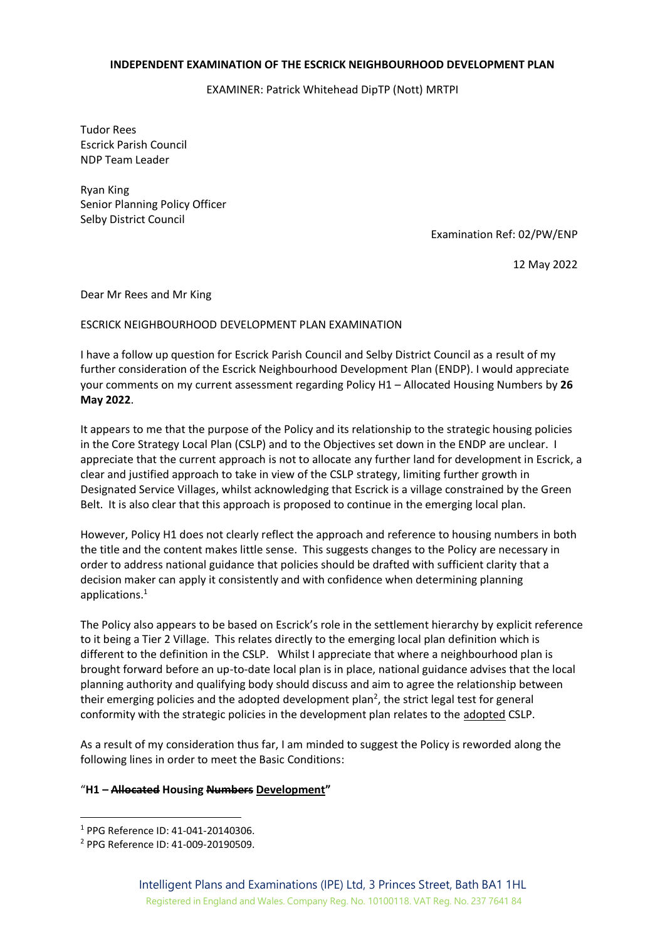## **INDEPENDENT EXAMINATION OF THE ESCRICK NEIGHBOURHOOD DEVELOPMENT PLAN**

EXAMINER: Patrick Whitehead DipTP (Nott) MRTPI

Tudor Rees Escrick Parish Council NDP Team Leader

Ryan King Senior Planning Policy Officer Selby District Council

Examination Ref: 02/PW/ENP

12 May 2022

Dear Mr Rees and Mr King

## ESCRICK NEIGHBOURHOOD DEVELOPMENT PLAN EXAMINATION

I have a follow up question for Escrick Parish Council and Selby District Council as a result of my further consideration of the Escrick Neighbourhood Development Plan (ENDP). I would appreciate your comments on my current assessment regarding Policy H1 – Allocated Housing Numbers by **26 May 2022**.

It appears to me that the purpose of the Policy and its relationship to the strategic housing policies in the Core Strategy Local Plan (CSLP) and to the Objectives set down in the ENDP are unclear. I appreciate that the current approach is not to allocate any further land for development in Escrick, a clear and justified approach to take in view of the CSLP strategy, limiting further growth in Designated Service Villages, whilst acknowledging that Escrick is a village constrained by the Green Belt. It is also clear that this approach is proposed to continue in the emerging local plan.

However, Policy H1 does not clearly reflect the approach and reference to housing numbers in both the title and the content makes little sense. This suggests changes to the Policy are necessary in order to address national guidance that policies should be drafted with sufficient clarity that a decision maker can apply it consistently and with confidence when determining planning applications.<sup>1</sup>

The Policy also appears to be based on Escrick's role in the settlement hierarchy by explicit reference to it being a Tier 2 Village. This relates directly to the emerging local plan definition which is different to the definition in the CSLP. Whilst I appreciate that where a neighbourhood plan is brought forward before an up-to-date local plan is in place, national guidance advises that the local planning authority and qualifying body should discuss and aim to agree the relationship between their emerging policies and the adopted development plan<sup>2</sup>, the strict legal test for general conformity with the strategic policies in the development plan relates to the adopted CSLP.

As a result of my consideration thus far, I am minded to suggest the Policy is reworded along the following lines in order to meet the Basic Conditions:

## "**H1 – Allocated Housing Numbers Development"**

<sup>1</sup> PPG Reference ID: 41-041-20140306.

<sup>2</sup> PPG Reference ID: 41-009-20190509.